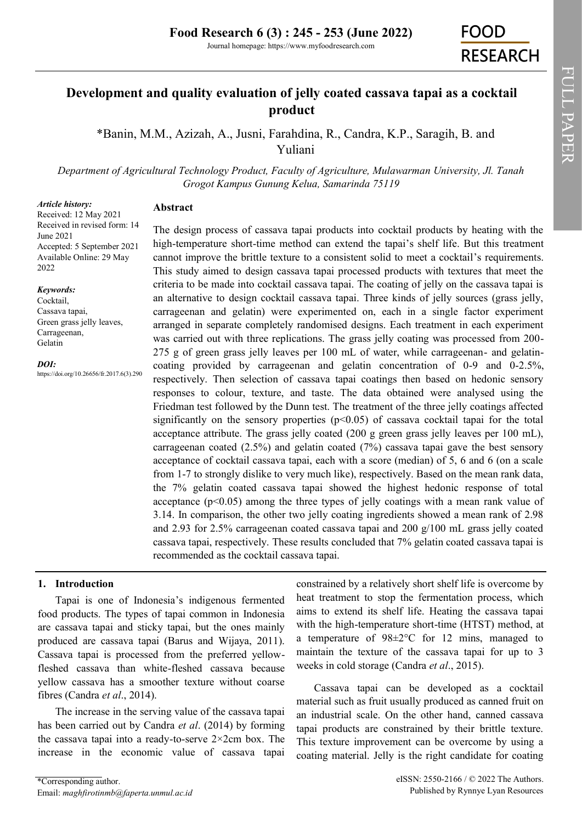Journal homepage: https://www.myfoodresearch.com

# **Development and quality evaluation of jelly coated cassava tapai as a cocktail product**

\*Banin, M.M., Azizah, A., Jusni, Farahdina, R., Candra, K.P., Saragih, B. and Yuliani

*Department of Agricultural Technology Product, Faculty of Agriculture, Mulawarman University, Jl. Tanah Grogot Kampus Gunung Kelua, Samarinda 75119*

#### *Article history:*

Received: 12 May 2021 Received in revised form: 14 June 2021 Accepted: 5 September 2021 Available Online: 29 May 2022

**Abstract**

#### *Keywords:*

Cocktail, Cassava tapai, Green grass jelly leaves, Carrageenan, Gelatin

#### *DOI:*

https://doi.org/10.26656/fr.2017.6(3).290

The design process of cassava tapai products into cocktail products by heating with the high-temperature short-time method can extend the tapai's shelf life. But this treatment cannot improve the brittle texture to a consistent solid to meet a cocktail's requirements. This study aimed to design cassava tapai processed products with textures that meet the criteria to be made into cocktail cassava tapai. The coating of jelly on the cassava tapai is an alternative to design cocktail cassava tapai. Three kinds of jelly sources (grass jelly, carrageenan and gelatin) were experimented on, each in a single factor experiment arranged in separate completely randomised designs. Each treatment in each experiment was carried out with three replications. The grass jelly coating was processed from 200- 275 g of green grass jelly leaves per 100 mL of water, while carrageenan- and gelatincoating provided by carrageenan and gelatin concentration of 0-9 and 0-2.5%, respectively. Then selection of cassava tapai coatings then based on hedonic sensory responses to colour, texture, and taste. The data obtained were analysed using the Friedman test followed by the Dunn test. The treatment of the three jelly coatings affected significantly on the sensory properties  $(p<0.05)$  of cassava cocktail tapai for the total acceptance attribute. The grass jelly coated (200 g green grass jelly leaves per 100 mL), carrageenan coated (2.5%) and gelatin coated (7%) cassava tapai gave the best sensory acceptance of cocktail cassava tapai, each with a score (median) of 5, 6 and 6 (on a scale from 1-7 to strongly dislike to very much like), respectively. Based on the mean rank data, the 7% gelatin coated cassava tapai showed the highest hedonic response of total acceptance  $(p<0.05)$  among the three types of jelly coatings with a mean rank value of 3.14. In comparison, the other two jelly coating ingredients showed a mean rank of 2.98 and 2.93 for 2.5% carrageenan coated cassava tapai and 200 g/100 mL grass jelly coated cassava tapai, respectively. These results concluded that 7% gelatin coated cassava tapai is recommended as the cocktail cassava tapai.

#### **1. Introduction**

Tapai is one of Indonesia's indigenous fermented food products. The types of tapai common in Indonesia are cassava tapai and sticky tapai, but the ones mainly produced are cassava tapai (Barus and Wijaya, 2011). Cassava tapai is processed from the preferred yellowfleshed cassava than white-fleshed cassava because yellow cassava has a smoother texture without coarse fibres (Candra *et al*., 2014).

The increase in the serving value of the cassava tapai has been carried out by Candra *et al*. (2014) by forming the cassava tapai into a ready-to-serve 2×2cm box. The increase in the economic value of cassava tapai

constrained by a relatively short shelf life is overcome by heat treatment to stop the fermentation process, which aims to extend its shelf life. Heating the cassava tapai with the high-temperature short-time (HTST) method, at a temperature of 98±2°C for 12 mins, managed to maintain the texture of the cassava tapai for up to 3 weeks in cold storage (Candra *et al*., 2015).

Cassava tapai can be developed as a cocktail material such as fruit usually produced as canned fruit on an industrial scale. On the other hand, canned cassava tapai products are constrained by their brittle texture. This texture improvement can be overcome by using a coating material. Jelly is the right candidate for coating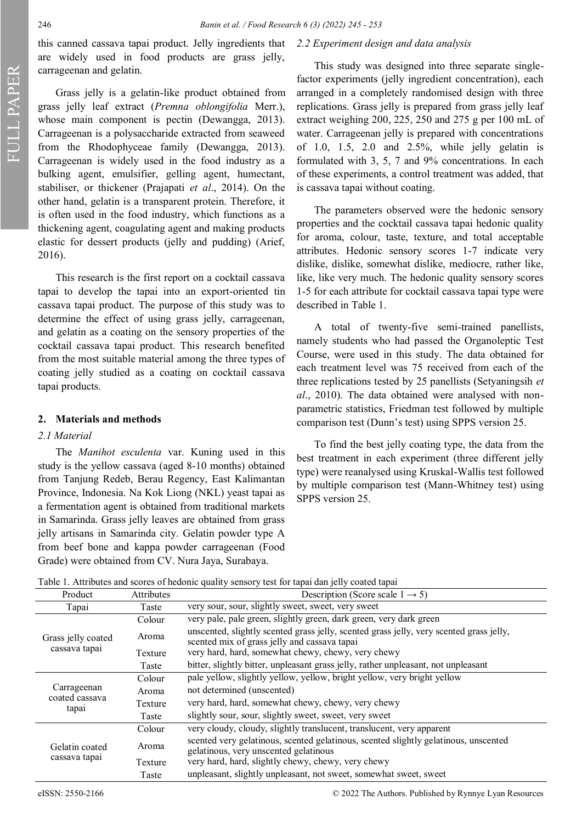this canned cassava tapai product. Jelly ingredients that are widely used in food products are grass jelly, carrageenan and gelatin.

Grass jelly is a gelatin-like product obtained from grass jelly leaf extract (*Premna oblongifolia* Merr.), whose main component is pectin (Dewangga, 2013). Carrageenan is a polysaccharide extracted from seaweed from the Rhodophyceae family (Dewangga, 2013). Carrageenan is widely used in the food industry as a bulking agent, emulsifier, gelling agent, humectant, stabiliser, or thickener (Prajapati *et al*., 2014). On the other hand, gelatin is a transparent protein. Therefore, it is often used in the food industry, which functions as a thickening agent, coagulating agent and making products elastic for dessert products (jelly and pudding) (Arief, 2016).

This research is the first report on a cocktail cassava tapai to develop the tapai into an export-oriented tin cassava tapai product. The purpose of this study was to determine the effect of using grass jelly, carrageenan, and gelatin as a coating on the sensory properties of the cocktail cassava tapai product. This research benefited from the most suitable material among the three types of coating jelly studied as a coating on cocktail cassava tapai products.

#### **2. Materials and methods**

### *2.1 Material*

The *Manihot esculenta* var. Kuning used in this study is the yellow cassava (aged 8-10 months) obtained from Tanjung Redeb, Berau Regency, East Kalimantan Province, Indonesia. Na Kok Liong (NKL) yeast tapai as a fermentation agent is obtained from traditional markets in Samarinda. Grass jelly leaves are obtained from grass jelly artisans in Samarinda city. Gelatin powder type A from beef bone and kappa powder carrageenan (Food Grade) were obtained from CV. Nura Jaya, Surabaya.

#### *2.2 Experiment design and data analysis*

This study was designed into three separate singlefactor experiments (jelly ingredient concentration), each arranged in a completely randomised design with three replications. Grass jelly is prepared from grass jelly leaf extract weighing 200, 225, 250 and 275 g per 100 mL of water. Carrageenan jelly is prepared with concentrations of 1.0, 1.5, 2.0 and  $2.5\%$ , while jelly gelatin is formulated with 3, 5, 7 and 9% concentrations. In each of these experiments, a control treatment was added, that is cassava tapai without coating.

The parameters observed were the hedonic sensory properties and the cocktail cassava tapai hedonic quality for aroma, colour, taste, texture, and total acceptable attributes. Hedonic sensory scores 1-7 indicate very dislike, dislike, somewhat dislike, mediocre, rather like, like, like very much. The hedonic quality sensory scores 1-5 for each attribute for cocktail cassava tapai type were described in Table 1.

A total of twenty-five semi-trained panellists, namely students who had passed the Organoleptic Test Course, were used in this study. The data obtained for each treatment level was 75 received from each of the three replications tested by 25 panellists (Setyaningsih *et al*., 2010). The data obtained were analysed with nonparametric statistics, Friedman test followed by multiple comparison test (Dunn's test) using SPPS version 25.

To find the best jelly coating type, the data from the best treatment in each experiment (three different jelly type) were reanalysed using Kruskal-Wallis test followed by multiple comparison test (Mann-Whitney test) using SPPS version 25.

|  |  |  |  | Table 1. Attributes and scores of hedonic quality sensory test for tapai dan jelly coated tapai |
|--|--|--|--|-------------------------------------------------------------------------------------------------|
|  |  |  |  |                                                                                                 |

| Product                 | <b>Attributes</b> | Description (Score scale $1 \rightarrow 5$ )                                                                                            |  |  |
|-------------------------|-------------------|-----------------------------------------------------------------------------------------------------------------------------------------|--|--|
| Tapai                   | Taste             | very sour, sour, slightly sweet, sweet, very sweet                                                                                      |  |  |
|                         | Colour            | very pale, pale green, slightly green, dark green, very dark green                                                                      |  |  |
| Grass jelly coated      | Aroma             | unscented, slightly scented grass jelly, scented grass jelly, very scented grass jelly,<br>scented mix of grass jelly and cassava tapai |  |  |
| cassava tapai           | Texture           | very hard, hard, somewhat chewy, chewy, very chewy                                                                                      |  |  |
|                         | Taste             | bitter, slightly bitter, unpleasant grass jelly, rather unpleasant, not unpleasant                                                      |  |  |
|                         | Colour            | pale yellow, slightly yellow, yellow, bright yellow, very bright yellow                                                                 |  |  |
| Carrageenan             | Aroma             | not determined (unscented)                                                                                                              |  |  |
| coated cassava<br>tapai | Texture           | very hard, hard, somewhat chewy, chewy, very chewy                                                                                      |  |  |
|                         | Taste             | slightly sour, sour, slightly sweet, sweet, very sweet                                                                                  |  |  |
|                         | Colour            | very cloudy, cloudy, slightly translucent, translucent, very apparent                                                                   |  |  |
| Gelatin coated          | Aroma             | scented very gelatinous, scented gelatinous, scented slightly gelatinous, unscented<br>gelatinous, very unscented gelatinous            |  |  |
| cassava tapai           | Texture           | very hard, hard, slightly chewy, chewy, very chewy                                                                                      |  |  |
|                         | Taste             | unpleasant, slightly unpleasant, not sweet, somewhat sweet, sweet                                                                       |  |  |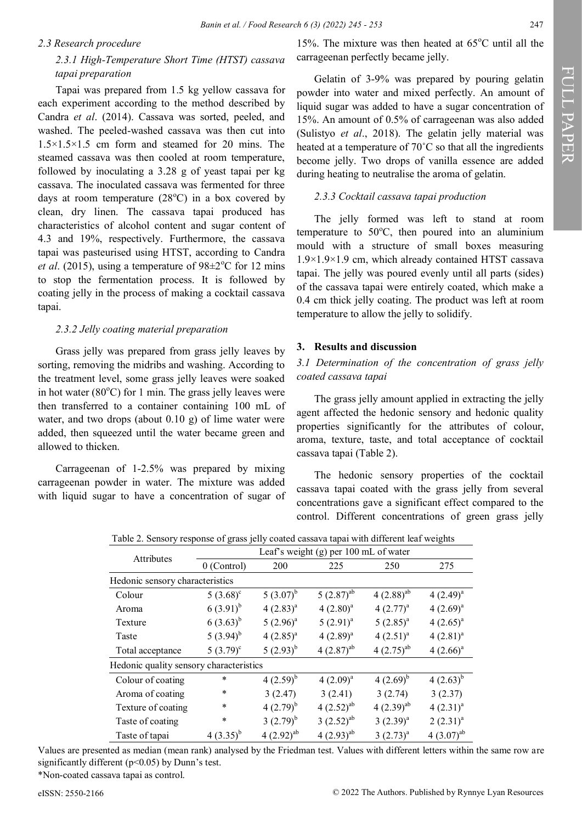#### *2.3 Research procedure*

## *2.3.1 High-Temperature Short Time (HTST) cassava tapai preparation*

Tapai was prepared from 1.5 kg yellow cassava for each experiment according to the method described by Candra *et al*. (2014). Cassava was sorted, peeled, and washed. The peeled-washed cassava was then cut into 1.5×1.5×1.5 cm form and steamed for 20 mins. The steamed cassava was then cooled at room temperature, followed by inoculating a 3.28 g of yeast tapai per kg cassava. The inoculated cassava was fermented for three days at room temperature  $(28^{\circ}C)$  in a box covered by clean, dry linen. The cassava tapai produced has characteristics of alcohol content and sugar content of 4.3 and 19%, respectively. Furthermore, the cassava tapai was pasteurised using HTST, according to Candra *et al.* (2015), using a temperature of  $98 \pm 2$ °C for 12 mins to stop the fermentation process. It is followed by coating jelly in the process of making a cocktail cassava tapai.

### *2.3.2 Jelly coating material preparation*

Grass jelly was prepared from grass jelly leaves by sorting, removing the midribs and washing. According to the treatment level, some grass jelly leaves were soaked in hot water  $(80^{\circ}$ C) for 1 min. The grass jelly leaves were then transferred to a container containing 100 mL of water, and two drops (about 0.10 g) of lime water were added, then squeezed until the water became green and allowed to thicken.

Carrageenan of 1-2.5% was prepared by mixing carrageenan powder in water. The mixture was added with liquid sugar to have a concentration of sugar of

15%. The mixture was then heated at  $65^{\circ}$ C until all the carrageenan perfectly became jelly.

Gelatin of 3-9% was prepared by pouring gelatin powder into water and mixed perfectly. An amount of liquid sugar was added to have a sugar concentration of 15%. An amount of 0.5% of carrageenan was also added (Sulistyo *et al*., 2018). The gelatin jelly material was heated at a temperature of 70˚C so that all the ingredients become jelly. Two drops of vanilla essence are added during heating to neutralise the aroma of gelatin.

#### *2.3.3 Cocktail cassava tapai production*

The jelly formed was left to stand at room temperature to  $50^{\circ}$ C, then poured into an aluminium mould with a structure of small boxes measuring 1.9×1.9×1.9 cm, which already contained HTST cassava tapai. The jelly was poured evenly until all parts (sides) of the cassava tapai were entirely coated, which make a 0.4 cm thick jelly coating. The product was left at room temperature to allow the jelly to solidify.

### **3. Results and discussion**

### *3.1 Determination of the concentration of grass jelly coated cassava tapai*

The grass jelly amount applied in extracting the jelly agent affected the hedonic sensory and hedonic quality properties significantly for the attributes of colour, aroma, texture, taste, and total acceptance of cocktail cassava tapai (Table 2).

The hedonic sensory properties of the cocktail cassava tapai coated with the grass jelly from several concentrations gave a significant effect compared to the control. Different concentrations of green grass jelly

|                                         |                |                 | Leaf's weight $(g)$ per 100 mL of water |                          |                |
|-----------------------------------------|----------------|-----------------|-----------------------------------------|--------------------------|----------------|
| Attributes                              | 0 (Control)    | 200             | 225                                     | 250                      | 275            |
| Hedonic sensory characteristics         |                |                 |                                         |                          |                |
| Colour                                  | $5(3.68)^c$    | $5(3.07)^{b}$   | $5(2.87)^{ab}$                          | $4(2.88)^{ab}$           | $4(2.49)^{a}$  |
| Aroma                                   | $(3.91)^{b}$   | $4(2.83)^{a}$   | $4(2.80)^a$                             | $4(2.77)^{a}$            | $4(2.69)^{a}$  |
| Texture                                 | $6(3.63)^{b}$  | $5(2.96)^a$     | $5(2.91)^{a}$                           | $5(2.85)^{a}$            | $4(2.65)^{a}$  |
| Taste                                   | 5 $(3.94)^{b}$ | $4(2.85)^{a}$   | $4(2.89)^{a}$                           | $4(2.51)^{a}$            | $4(2.81)^{a}$  |
| Total acceptance                        | $(3.79)^c$     | $(2.93)^{b}$    | $4(2.87)^{ab}$                          | $4(2.75)^{ab}$           | $4(2.66)^{a}$  |
| Hedonic quality sensory characteristics |                |                 |                                         |                          |                |
| Colour of coating                       | *              | $4(2.59)^{b}$   | $4(2.09)^{a}$                           | $4(2.69)^{b}$            | $4(2.63)^{b}$  |
| Aroma of coating                        | *              | 3(2.47)         | 3(2.41)                                 | 3(2.74)                  | 3(2.37)        |
| Texture of coating                      | $\ast$         | $4(2.79)^{b}$   | 4 $(2.52)^{ab}$                         | 4 $(2.39)$ <sup>ab</sup> | $4(2.31)^{a}$  |
| Taste of coating                        | $\ast$         | $3(2.79)^{b}$   | $3(2.52)^{ab}$                          | $3(2.39)^{a}$            | $2(2.31)^{a}$  |
| Taste of tapai                          | $4(3.35)^{b}$  | 4 $(2.92)^{ab}$ | 4 $(2.93)^{ab}$                         | $3(2.73)^{a}$            | $4(3.07)^{ab}$ |

Table 2. Sensory response of grass jelly coated cassava tapai with different leaf weights

Values are presented as median (mean rank) analysed by the Friedman test. Values with different letters within the same row are significantly different ( $p$ <0.05) by Dunn's test.

\*Non-coated cassava tapai as control.

FULL PAPER

FULL PAPER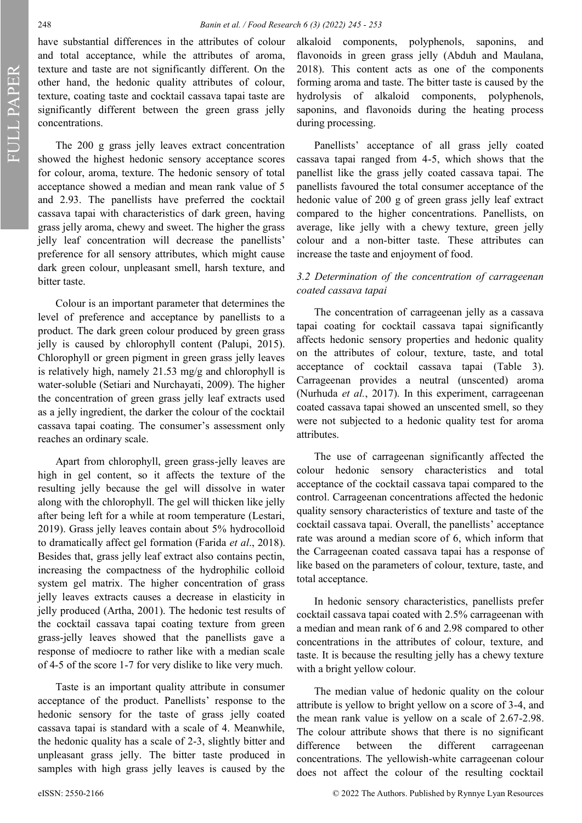have substantial differences in the attributes of colour and total acceptance, while the attributes of aroma, texture and taste are not significantly different. On the other hand, the hedonic quality attributes of colour, texture, coating taste and cocktail cassava tapai taste are significantly different between the green grass jelly concentrations.

The 200 g grass jelly leaves extract concentration showed the highest hedonic sensory acceptance scores for colour, aroma, texture. The hedonic sensory of total acceptance showed a median and mean rank value of 5 and 2.93. The panellists have preferred the cocktail cassava tapai with characteristics of dark green, having grass jelly aroma, chewy and sweet. The higher the grass jelly leaf concentration will decrease the panellists' preference for all sensory attributes, which might cause dark green colour, unpleasant smell, harsh texture, and bitter taste.

Colour is an important parameter that determines the level of preference and acceptance by panellists to a product. The dark green colour produced by green grass jelly is caused by chlorophyll content (Palupi, 2015). Chlorophyll or green pigment in green grass jelly leaves is relatively high, namely 21.53 mg/g and chlorophyll is water-soluble (Setiari and Nurchayati, 2009). The higher the concentration of green grass jelly leaf extracts used as a jelly ingredient, the darker the colour of the cocktail cassava tapai coating. The consumer's assessment only reaches an ordinary scale.

Apart from chlorophyll, green grass-jelly leaves are high in gel content, so it affects the texture of the resulting jelly because the gel will dissolve in water along with the chlorophyll. The gel will thicken like jelly after being left for a while at room temperature (Lestari, 2019). Grass jelly leaves contain about 5% hydrocolloid to dramatically affect gel formation (Farida *et al*., 2018). Besides that, grass jelly leaf extract also contains pectin, increasing the compactness of the hydrophilic colloid system gel matrix. The higher concentration of grass jelly leaves extracts causes a decrease in elasticity in jelly produced (Artha, 2001). The hedonic test results of the cocktail cassava tapai coating texture from green grass-jelly leaves showed that the panellists gave a response of mediocre to rather like with a median scale of 4-5 of the score 1-7 for very dislike to like very much.

Taste is an important quality attribute in consumer acceptance of the product. Panellists' response to the hedonic sensory for the taste of grass jelly coated cassava tapai is standard with a scale of 4. Meanwhile, the hedonic quality has a scale of 2-3, slightly bitter and unpleasant grass jelly. The bitter taste produced in samples with high grass jelly leaves is caused by the

alkaloid components, polyphenols, saponins, and flavonoids in green grass jelly (Abduh and Maulana, 2018). This content acts as one of the components forming aroma and taste. The bitter taste is caused by the hydrolysis of alkaloid components, polyphenols, saponins, and flavonoids during the heating process during processing.

Panellists' acceptance of all grass jelly coated cassava tapai ranged from 4-5, which shows that the panellist like the grass jelly coated cassava tapai. The panellists favoured the total consumer acceptance of the hedonic value of 200 g of green grass jelly leaf extract compared to the higher concentrations. Panellists, on average, like jelly with a chewy texture, green jelly colour and a non-bitter taste. These attributes can increase the taste and enjoyment of food.

### *3.2 Determination of the concentration of carrageenan coated cassava tapai*

The concentration of carrageenan jelly as a cassava tapai coating for cocktail cassava tapai significantly affects hedonic sensory properties and hedonic quality on the attributes of colour, texture, taste, and total acceptance of cocktail cassava tapai (Table 3). Carrageenan provides a neutral (unscented) aroma (Nurhuda *et al.*, 2017). In this experiment, carrageenan coated cassava tapai showed an unscented smell, so they were not subjected to a hedonic quality test for aroma attributes.

The use of carrageenan significantly affected the colour hedonic sensory characteristics and total acceptance of the cocktail cassava tapai compared to the control. Carrageenan concentrations affected the hedonic quality sensory characteristics of texture and taste of the cocktail cassava tapai. Overall, the panellists' acceptance rate was around a median score of 6, which inform that the Carrageenan coated cassava tapai has a response of like based on the parameters of colour, texture, taste, and total acceptance.

In hedonic sensory characteristics, panellists prefer cocktail cassava tapai coated with 2.5% carrageenan with a median and mean rank of 6 and 2.98 compared to other concentrations in the attributes of colour, texture, and taste. It is because the resulting jelly has a chewy texture with a bright yellow colour.

The median value of hedonic quality on the colour attribute is yellow to bright yellow on a score of 3-4, and the mean rank value is yellow on a scale of 2.67-2.98. The colour attribute shows that there is no significant difference between the different carrageenan concentrations. The yellowish-white carrageenan colour does not affect the colour of the resulting cocktail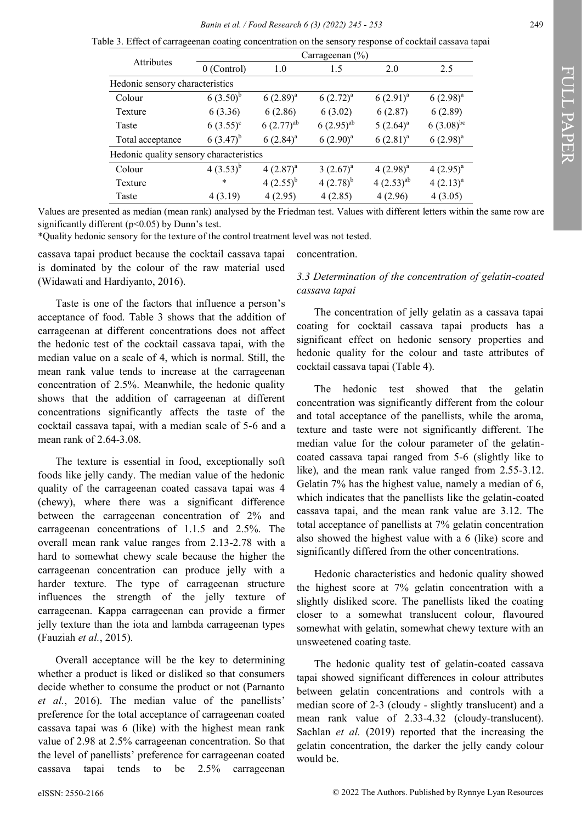Table 3. Effect of carrageenan coating concentration on the sensory response of cocktail cassava tapai

| <b>Attributes</b>                       | Carrageenan $(\% )$ |                |                |                |                |  |
|-----------------------------------------|---------------------|----------------|----------------|----------------|----------------|--|
|                                         | $0$ (Control)       | 1.0            | 1.5            | 2.0            | 2.5            |  |
| Hedonic sensory characteristics         |                     |                |                |                |                |  |
| Colour                                  | $6(3.50)^{b}$       | $6(2.89)^{a}$  | $6(2.72)^{a}$  | $6(2.91)^{a}$  | $6(2.98)^{a}$  |  |
| Texture                                 | 6(3.36)             | 6(2.86)        | 6(3.02)        | 6(2.87)        | 6(2.89)        |  |
| Taste                                   | $6(3.55)^{c}$       | $6(2.77)^{ab}$ | $6(2.95)^{ab}$ | $5(2.64)^a$    | $6(3.08)^{bc}$ |  |
| Total acceptance                        | $6(3.47)^{b}$       | $6(2.84)^{a}$  | $6(2.90)^{a}$  | $6(2.81)^{a}$  | $6(2.98)^{a}$  |  |
| Hedonic quality sensory characteristics |                     |                |                |                |                |  |
| Colour                                  | $4(3.53)^{b}$       | $4(2.87)^{a}$  | $3(2.67)^{a}$  | $4(2.98)^{a}$  | $4(2.95)^{a}$  |  |
| Texture                                 | $\ast$              | $4(2.55)^{b}$  | $4(2.78)^{b}$  | $4(2.53)^{ab}$ | $4(2.13)^{a}$  |  |
| Taste                                   | 4(3.19)             | 4(2.95)        | 4(2.85)        | 4(2.96)        | 4(3.05)        |  |

Values are presented as median (mean rank) analysed by the Friedman test. Values with different letters within the same row are significantly different ( $p$ <0.05) by Dunn's test.

\*Quality hedonic sensory for the texture of the control treatment level was not tested.

cassava tapai product because the cocktail cassava tapai is dominated by the colour of the raw material used (Widawati and Hardiyanto, 2016).

Taste is one of the factors that influence a person's acceptance of food. Table 3 shows that the addition of carrageenan at different concentrations does not affect the hedonic test of the cocktail cassava tapai, with the median value on a scale of 4, which is normal. Still, the mean rank value tends to increase at the carrageenan concentration of 2.5%. Meanwhile, the hedonic quality shows that the addition of carrageenan at different concentrations significantly affects the taste of the cocktail cassava tapai, with a median scale of 5-6 and a mean rank of 2.64-3.08.

The texture is essential in food, exceptionally soft foods like jelly candy. The median value of the hedonic quality of the carrageenan coated cassava tapai was 4 (chewy), where there was a significant difference between the carrageenan concentration of 2% and carrageenan concentrations of 1.1.5 and 2.5%. The overall mean rank value ranges from 2.13-2.78 with a hard to somewhat chewy scale because the higher the carrageenan concentration can produce jelly with a harder texture. The type of carrageenan structure influences the strength of the jelly texture of carrageenan. Kappa carrageenan can provide a firmer jelly texture than the iota and lambda carrageenan types (Fauziah *et al.*, 2015).

Overall acceptance will be the key to determining whether a product is liked or disliked so that consumers decide whether to consume the product or not (Parnanto *et al.*, 2016). The median value of the panellists' preference for the total acceptance of carrageenan coated cassava tapai was 6 (like) with the highest mean rank value of 2.98 at 2.5% carrageenan concentration. So that the level of panellists' preference for carrageenan coated cassava tapai tends to be 2.5% carrageenan

concentration.

### *3.3 Determination of the concentration of gelatin-coated cassava tapai*

The concentration of jelly gelatin as a cassava tapai coating for cocktail cassava tapai products has a significant effect on hedonic sensory properties and hedonic quality for the colour and taste attributes of cocktail cassava tapai (Table 4).

The hedonic test showed that the gelatin concentration was significantly different from the colour and total acceptance of the panellists, while the aroma, texture and taste were not significantly different. The median value for the colour parameter of the gelatincoated cassava tapai ranged from 5-6 (slightly like to like), and the mean rank value ranged from 2.55-3.12. Gelatin 7% has the highest value, namely a median of 6, which indicates that the panellists like the gelatin-coated cassava tapai, and the mean rank value are 3.12. The total acceptance of panellists at 7% gelatin concentration also showed the highest value with a 6 (like) score and significantly differed from the other concentrations.

Hedonic characteristics and hedonic quality showed the highest score at 7% gelatin concentration with a slightly disliked score. The panellists liked the coating closer to a somewhat translucent colour, flavoured somewhat with gelatin, somewhat chewy texture with an unsweetened coating taste.

The hedonic quality test of gelatin-coated cassava tapai showed significant differences in colour attributes between gelatin concentrations and controls with a median score of 2-3 (cloudy - slightly translucent) and a mean rank value of 2.33-4.32 (cloudy-translucent). Sachlan *et al.* (2019) reported that the increasing the gelatin concentration, the darker the jelly candy colour would be.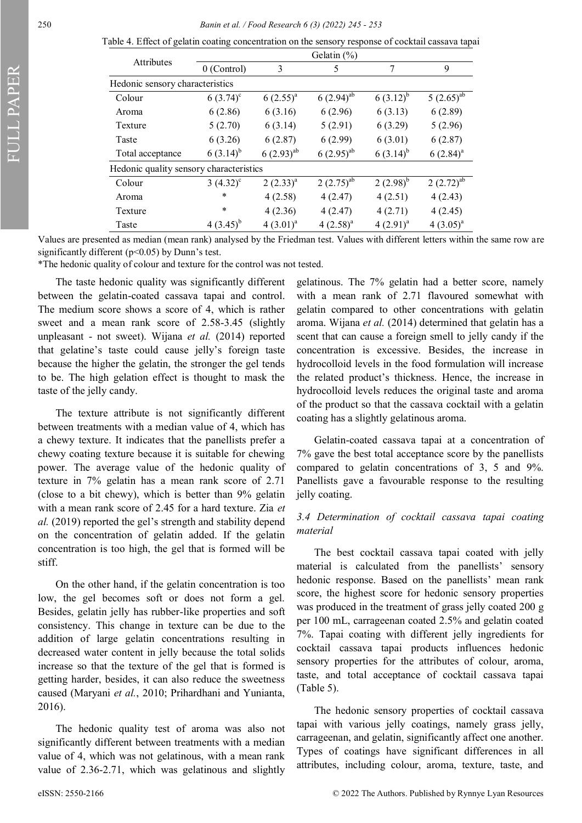FULL PAPER

250 *Banin et al. / Food Research 6 (3) (2022) 245 - 253*

| Table 4. Effect of gelatin coating concentration on the sensory response of cocktail cassava tapai |
|----------------------------------------------------------------------------------------------------|
| Gelatin (%)                                                                                        |

|                                         | $U$ Clatill $(70)$ |                         |                         |               |                |  |  |
|-----------------------------------------|--------------------|-------------------------|-------------------------|---------------|----------------|--|--|
| Attributes                              | $0$ (Control)      | 3                       | 5                       | 7             | 9              |  |  |
| Hedonic sensory characteristics         |                    |                         |                         |               |                |  |  |
| Colour                                  | $6(3.74)^c$        | $6(2.55)^{a}$           | $6(2.94)$ <sup>ab</sup> | $6(3.12)^{b}$ | $5(2.65)^{ab}$ |  |  |
| Aroma                                   | 6(2.86)            | 6(3.16)                 | 6(2.96)                 | 6(3.13)       | 6(2.89)        |  |  |
| Texture                                 | 5(2.70)            | 6(3.14)                 | 5(2.91)                 | 6(3.29)       | 5(2.96)        |  |  |
| Taste                                   | 6(3.26)            | 6(2.87)                 | 6(2.99)                 | 6(3.01)       | 6(2.87)        |  |  |
| Total acceptance                        | $6(3.14)^{b}$      | $6(2.93)$ <sup>ab</sup> | $6(2.95)^{ab}$          | $6(3.14)^{b}$ | $6(2.84)^{a}$  |  |  |
| Hedonic quality sensory characteristics |                    |                         |                         |               |                |  |  |
| Colour                                  | $3(4.32)^{c}$      | $2(2.33)^{a}$           | $2(2.75)^{ab}$          | $(2.98)^{b}$  | $2(2.72)^{ab}$ |  |  |
| Aroma                                   | *                  | 4(2.58)                 | 4(2.47)                 | 4(2.51)       | 4(2.43)        |  |  |
| Texture                                 | $\ast$             | 4(2.36)                 | 4(2.47)                 | 4(2.71)       | 4(2.45)        |  |  |
| Taste                                   | $4(3.45)^{b}$      | $4(3.01)^{a}$           | $4(2.58)^{a}$           | $4(2.91)^{a}$ | $4(3.05)^{a}$  |  |  |

Values are presented as median (mean rank) analysed by the Friedman test. Values with different letters within the same row are significantly different ( $p$ <0.05) by Dunn's test.

\*The hedonic quality of colour and texture for the control was not tested.

The taste hedonic quality was significantly different between the gelatin-coated cassava tapai and control. The medium score shows a score of 4, which is rather sweet and a mean rank score of 2.58-3.45 (slightly unpleasant - not sweet). Wijana *et al.* (2014) reported that gelatine's taste could cause jelly's foreign taste because the higher the gelatin, the stronger the gel tends to be. The high gelation effect is thought to mask the taste of the jelly candy.

The texture attribute is not significantly different between treatments with a median value of 4, which has a chewy texture. It indicates that the panellists prefer a chewy coating texture because it is suitable for chewing power. The average value of the hedonic quality of texture in 7% gelatin has a mean rank score of 2.71 (close to a bit chewy), which is better than 9% gelatin with a mean rank score of 2.45 for a hard texture. Zia *et al.* (2019) reported the gel's strength and stability depend on the concentration of gelatin added. If the gelatin concentration is too high, the gel that is formed will be stiff.

On the other hand, if the gelatin concentration is too low, the gel becomes soft or does not form a gel. Besides, gelatin jelly has rubber-like properties and soft consistency. This change in texture can be due to the addition of large gelatin concentrations resulting in decreased water content in jelly because the total solids increase so that the texture of the gel that is formed is getting harder, besides, it can also reduce the sweetness caused (Maryani *et al.*, 2010; Prihardhani and Yunianta, 2016).

The hedonic quality test of aroma was also not significantly different between treatments with a median value of 4, which was not gelatinous, with a mean rank value of 2.36-2.71, which was gelatinous and slightly gelatinous. The 7% gelatin had a better score, namely with a mean rank of 2.71 flavoured somewhat with gelatin compared to other concentrations with gelatin aroma. Wijana *et al.* (2014) determined that gelatin has a scent that can cause a foreign smell to jelly candy if the concentration is excessive. Besides, the increase in hydrocolloid levels in the food formulation will increase the related product's thickness. Hence, the increase in hydrocolloid levels reduces the original taste and aroma of the product so that the cassava cocktail with a gelatin coating has a slightly gelatinous aroma.

Gelatin-coated cassava tapai at a concentration of 7% gave the best total acceptance score by the panellists compared to gelatin concentrations of 3, 5 and 9%. Panellists gave a favourable response to the resulting jelly coating.

## *3.4 Determination of cocktail cassava tapai coating material*

The best cocktail cassava tapai coated with jelly material is calculated from the panellists' sensory hedonic response. Based on the panellists' mean rank score, the highest score for hedonic sensory properties was produced in the treatment of grass jelly coated 200 g per 100 mL, carrageenan coated 2.5% and gelatin coated 7%. Tapai coating with different jelly ingredients for cocktail cassava tapai products influences hedonic sensory properties for the attributes of colour, aroma, taste, and total acceptance of cocktail cassava tapai (Table 5).

The hedonic sensory properties of cocktail cassava tapai with various jelly coatings, namely grass jelly, carrageenan, and gelatin, significantly affect one another. Types of coatings have significant differences in all attributes, including colour, aroma, texture, taste, and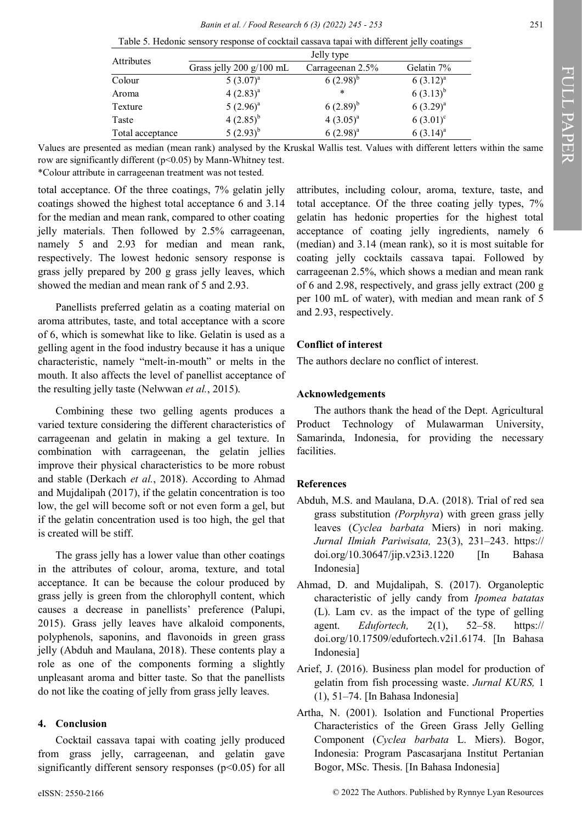| <b>Attributes</b> |                            | Jelly type       |               |
|-------------------|----------------------------|------------------|---------------|
|                   | Grass jelly $200 g/100 mL$ | Carrageenan 2.5% | Gelatin 7%    |
| Colour            | $5(3.07)^{a}$              | $6(2.98)^{b}$    | $6(3.12)^{a}$ |
| Aroma             | $4(2.83)^{a}$              | $\ast$           | $6(3.13)^{b}$ |
| Texture           | $5(2.96)^{a}$              | $6(2.89)^{b}$    | $6(3.29)^{a}$ |
| Taste             | $4(2.85)^{b}$              | $4(3.05)^{a}$    | $6(3.01)^{c}$ |
| Total acceptance  | $(2.93)^{b}$               | $6(2.98)^{a}$    | $6(3.14)^{a}$ |

Table 5. Hedonic sensory response of cocktail cassava tapai with different jelly coatings

Values are presented as median (mean rank) analysed by the Kruskal Wallis test. Values with different letters within the same row are significantly different (p<0.05) by Mann-Whitney test.

\*Colour attribute in carrageenan treatment was not tested.

total acceptance. Of the three coatings, 7% gelatin jelly coatings showed the highest total acceptance 6 and 3.14 for the median and mean rank, compared to other coating jelly materials. Then followed by 2.5% carrageenan, namely 5 and 2.93 for median and mean rank, respectively. The lowest hedonic sensory response is grass jelly prepared by 200 g grass jelly leaves, which showed the median and mean rank of 5 and 2.93.

Panellists preferred gelatin as a coating material on aroma attributes, taste, and total acceptance with a score of 6, which is somewhat like to like. Gelatin is used as a gelling agent in the food industry because it has a unique characteristic, namely "melt-in-mouth" or melts in the mouth. It also affects the level of panellist acceptance of the resulting jelly taste (Nelwwan *et al.*, 2015).

Combining these two gelling agents produces a varied texture considering the different characteristics of carrageenan and gelatin in making a gel texture. In combination with carrageenan, the gelatin jellies improve their physical characteristics to be more robust and stable (Derkach *et al.*, 2018). According to Ahmad and Mujdalipah (2017), if the gelatin concentration is too low, the gel will become soft or not even form a gel, but if the gelatin concentration used is too high, the gel that is created will be stiff.

The grass jelly has a lower value than other coatings in the attributes of colour, aroma, texture, and total acceptance. It can be because the colour produced by grass jelly is green from the chlorophyll content, which causes a decrease in panellists' preference (Palupi, 2015). Grass jelly leaves have alkaloid components, polyphenols, saponins, and flavonoids in green grass jelly (Abduh and Maulana, 2018). These contents play a role as one of the components forming a slightly unpleasant aroma and bitter taste. So that the panellists do not like the coating of jelly from grass jelly leaves.

## **4. Conclusion**

Cocktail cassava tapai with coating jelly produced from grass jelly, carrageenan, and gelatin gave significantly different sensory responses (p<0.05) for all attributes, including colour, aroma, texture, taste, and total acceptance. Of the three coating jelly types, 7% gelatin has hedonic properties for the highest total acceptance of coating jelly ingredients, namely 6 (median) and 3.14 (mean rank), so it is most suitable for coating jelly cocktails cassava tapai. Followed by carrageenan 2.5%, which shows a median and mean rank of 6 and 2.98, respectively, and grass jelly extract (200 g per 100 mL of water), with median and mean rank of 5 and 2.93, respectively.

# **Conflict of interest**

The authors declare no conflict of interest.

## **Acknowledgements**

The authors thank the head of the Dept. Agricultural Product Technology of Mulawarman University, Samarinda, Indonesia, for providing the necessary facilities.

## **References**

- Abduh, M.S. and Maulana, D.A. (2018). Trial of red sea grass substitution *(Porphyra*) with green grass jelly leaves (*Cyclea barbata* Miers) in nori making. *Jurnal Ilmiah Pariwisata,* 23(3), 231–243. https:// doi.org/10.30647/jip.v23i3.1220 [In Bahasa Indonesia]
- Ahmad, D. and Mujdalipah, S. (2017). Organoleptic characteristic of jelly candy from *Ipomea batatas* (L). Lam cv. as the impact of the type of gelling agent. *Edufortech,* 2(1), 52–58. https:// doi.org/10.17509/edufortech.v2i1.6174. [In Bahasa Indonesia]
- Arief, J. (2016). Business plan model for production of gelatin from fish processing waste. *Jurnal KURS,* 1 (1), 51–74. [In Bahasa Indonesia]
- Artha, N. (2001). Isolation and Functional Properties Characteristics of the Green Grass Jelly Gelling Component (*Cyclea barbata* L. Miers). Bogor, Indonesia: Program Pascasarjana Institut Pertanian Bogor, MSc. Thesis. [In Bahasa Indonesia]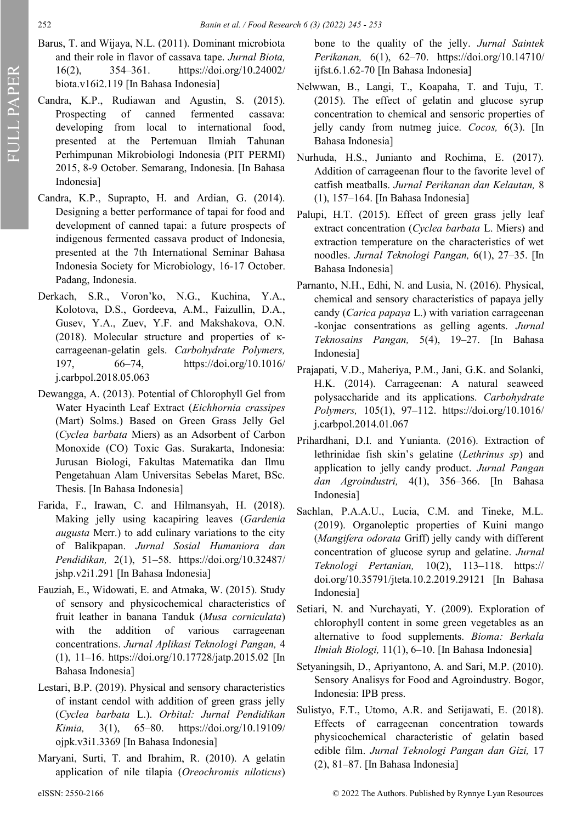- Barus, T. and Wijaya, N.L. (2011). Dominant microbiota and their role in flavor of cassava tape. *Jurnal Biota,* 16(2), 354–361. https://doi.org/10.24002/ biota.v16i2.119 [In Bahasa Indonesia]
- Candra, K.P., Rudiawan and Agustin, S. (2015). Prospecting of canned fermented cassava: developing from local to international food, presented at the Pertemuan Ilmiah Tahunan Perhimpunan Mikrobiologi Indonesia (PIT PERMI) 2015, 8-9 October. Semarang, Indonesia. [In Bahasa Indonesia]
- Candra, K.P., Suprapto, H. and Ardian, G. (2014). Designing a better performance of tapai for food and development of canned tapai: a future prospects of indigenous fermented cassava product of Indonesia, presented at the 7th International Seminar Bahasa Indonesia Society for Microbiology, 16-17 October. Padang, Indonesia.
- Derkach, S.R., Voron'ko, N.G., Kuchina, Y.A., Kolotova, D.S., Gordeeva, A.M., Faizullin, D.A., Gusev, Y.A., Zuev, Y.F. and Makshakova, O.N. (2018). Molecular structure and properties of κcarrageenan-gelatin gels. *Carbohydrate Polymers,* 197, 66–74, https://doi.org/10.1016/ j.carbpol.2018.05.063
- Dewangga, A. (2013). Potential of Chlorophyll Gel from Water Hyacinth Leaf Extract (*Eichhornia crassipes* (Mart) Solms.) Based on Green Grass Jelly Gel (*Cyclea barbata* Miers) as an Adsorbent of Carbon Monoxide (CO) Toxic Gas. Surakarta, Indonesia: Jurusan Biologi, Fakultas Matematika dan Ilmu Pengetahuan Alam Universitas Sebelas Maret, BSc. Thesis. [In Bahasa Indonesia]
- Farida, F., Irawan, C. and Hilmansyah, H. (2018). Making jelly using kacapiring leaves (*Gardenia augusta* Merr.) to add culinary variations to the city of Balikpapan. *Jurnal Sosial Humaniora dan Pendidikan,* 2(1), 51–58. https://doi.org/10.32487/ jshp.v2i1.291 [In Bahasa Indonesia]
- Fauziah, E., Widowati, E. and Atmaka, W. (2015). Study of sensory and physicochemical characteristics of fruit leather in banana Tanduk (*Musa corniculata*) with the addition of various carrageenan concentrations. *Jurnal Aplikasi Teknologi Pangan,* 4 (1), 11–16. https://doi.org/10.17728/jatp.2015.02 [In Bahasa Indonesia]
- Lestari, B.P. (2019). Physical and sensory characteristics of instant cendol with addition of green grass jelly (*Cyclea barbata* L.). *Orbital: Jurnal Pendidikan Kimia,* 3(1), 65–80. https://doi.org/10.19109/ ojpk.v3i1.3369 [In Bahasa Indonesia]
- Maryani, Surti, T. and Ibrahim, R. (2010). A gelatin application of nile tilapia (*Oreochromis niloticus*)

bone to the quality of the jelly. *Jurnal Saintek Perikanan,* 6(1), 62–70. https://doi.org/10.14710/ ijfst.6.1.62-70 [In Bahasa Indonesia]

- Nelwwan, B., Langi, T., Koapaha, T. and Tuju, T. (2015). The effect of gelatin and glucose syrup concentration to chemical and sensoric properties of jelly candy from nutmeg juice. *Cocos,* 6(3). [In Bahasa Indonesia]
- Nurhuda, H.S., Junianto and Rochima, E. (2017). Addition of carrageenan flour to the favorite level of catfish meatballs. *Jurnal Perikanan dan Kelautan,* 8 (1), 157–164. [In Bahasa Indonesia]
- Palupi, H.T. (2015). Effect of green grass jelly leaf extract concentration (*Cyclea barbata* L. Miers) and extraction temperature on the characteristics of wet noodles. *Jurnal Teknologi Pangan,* 6(1), 27–35. [In Bahasa Indonesia]
- Parnanto, N.H., Edhi, N. and Lusia, N. (2016). Physical, chemical and sensory characteristics of papaya jelly candy (*Carica papaya* L.) with variation carrageenan -konjac consentrations as gelling agents. *Jurnal Teknosains Pangan,* 5(4), 19–27. [In Bahasa Indonesia]
- Prajapati, V.D., Maheriya, P.M., Jani, G.K. and Solanki, H.K. (2014). Carrageenan: A natural seaweed polysaccharide and its applications. *Carbohydrate Polymers,* 105(1), 97–112. https://doi.org/10.1016/ j.carbpol.2014.01.067
- Prihardhani, D.I. and Yunianta. (2016). Extraction of lethrinidae fish skin's gelatine (*Lethrinus sp*) and application to jelly candy product. *Jurnal Pangan dan Agroindustri,* 4(1), 356–366. [In Bahasa Indonesia]
- Sachlan, P.A.A.U., Lucia, C.M. and Tineke, M.L. (2019). Organoleptic properties of Kuini mango (*Mangifera odorata* Griff) jelly candy with different concentration of glucose syrup and gelatine. *Jurnal Teknologi Pertanian,* 10(2), 113–118. https:// doi.org/10.35791/jteta.10.2.2019.29121 [In Bahasa Indonesia]
- Setiari, N. and Nurchayati, Y. (2009). Exploration of chlorophyll content in some green vegetables as an alternative to food supplements. *Bioma: Berkala Ilmiah Biologi,* 11(1), 6–10. [In Bahasa Indonesia]
- Setyaningsih, D., Apriyantono, A. and Sari, M.P. (2010). Sensory Analisys for Food and Agroindustry. Bogor, Indonesia: IPB press.
- Sulistyo, F.T., Utomo, A.R. and Setijawati, E. (2018). Effects of carrageenan concentration towards physicochemical characteristic of gelatin based edible film. *Jurnal Teknologi Pangan dan Gizi,* 17 (2), 81–87. [In Bahasa Indonesia]